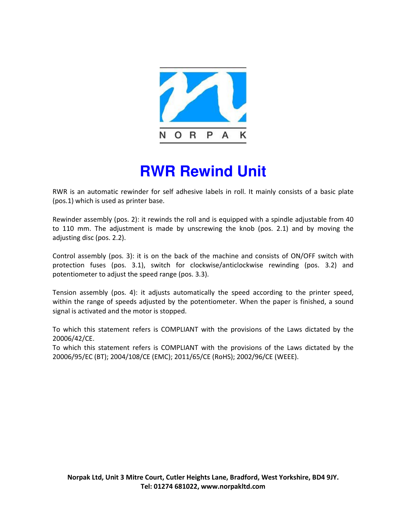

## **RWR Rewind Unit**

RWR is an automatic rewinder for self adhesive labels in roll. It mainly consists of a basic plate (pos.1) which is used as printer base.

Rewinder assembly (pos. 2): it rewinds the roll and is equipped with a spindle adjustable from 40 to 110 mm. The adjustment is made by unscrewing the knob (pos. 2.1) and by moving the adjusting disc (pos. 2.2).

Control assembly (pos. 3): it is on the back of the machine and consists of ON/OFF switch with protection fuses (pos. 3.1), switch for clockwise/anticlockwise rewinding (pos. 3.2) and potentiometer to adjust the speed range (pos. 3.3).

Tension assembly (pos. 4): it adjusts automatically the speed according to the printer speed, within the range of speeds adjusted by the potentiometer. When the paper is finished, a sound signal is activated and the motor is stopped.

To which this statement refers is COMPLIANT with the provisions of the Laws dictated by the 20006/42/CE.

To which this statement refers is COMPLIANT with the provisions of the Laws dictated by the 20006/95/EC (BT); 2004/108/CE (EMC); 2011/65/CE (RoHS); 2002/96/CE (WEEE).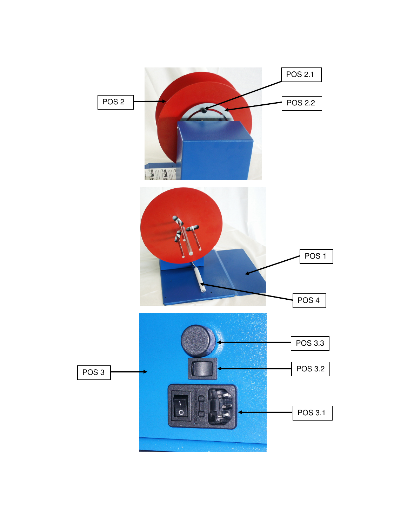